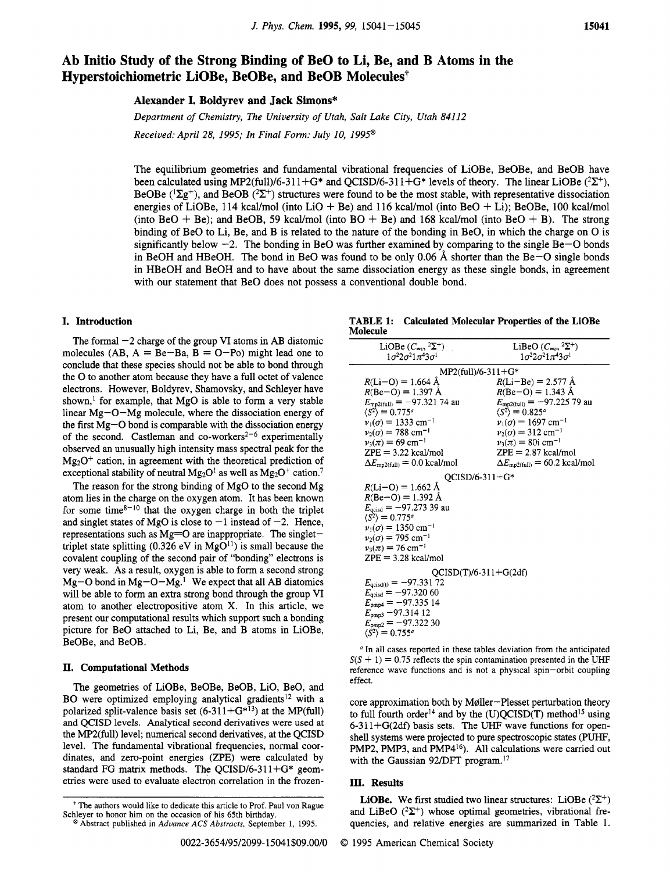# **Ab Initio Study of the Strong Binding of Be0 to Li, Be, and B Atoms in the Hyperstoichiometric LiOBe, BeOBe, and BeOB Molecules?**

## **Alexander I. Boldyrev and Jack Simons"**

*Department* of *Chemistry, The University* of *Utah, Salt Lake City, Utah 84112 Received: April 28, 1995; In Final Form: July IO, 1995@* 

The equilibrium geometries and fundamental vibrational frequencies of LiOBe, BeOBe, and BeOB have been calculated using MP2(full)/6-311+G\* and QCISD/6-311+G\* levels of theory. The linear LiOBe  $(^2\Sigma^+)$ , BeOBe  $({}^{1}\Sigma g^{+})$ , and BeOB  $({}^{2}\Sigma^{+})$  structures were found to be the most stable, with representative dissociation energies of LiOBe, 114 kcal/mol (into LiO + Be) and 116 kcal/mol (into BeO + Li); BeOBe, 100 kcal/mol (into  $BeO + Be$ ); and  $BeOB$ , 59 kcal/mol (into  $BO + Be$ ) and 168 kcal/mol (into  $BeO + B$ ). The strong binding of Be0 to Li, Be, and B is related to the nature of the bonding in BeO, in which the charge on 0 is significantly below  $-2$ . The bonding in BeO was further examined by comparing to the single Be $-$ O bonds in BeOH and HBeOH. The bond in Be0 was found to be only 0.06 *8,* shorter than the Be-0 single bonds in HBeOH and BeOH and to have about the same dissociation energy as these single bonds, in agreement with our statement that Be0 does not possess a conventional double bond.

## **I. Introduction**

The formal  $-2$  charge of the group VI atoms in AB diatomic molecules (AB,  $A = Be - Ba$ ,  $B = O - Po$ ) might lead one to conclude that these species should not be able to bond through the 0 to another atom because they have a full octet of valence electrons. However, Boldyrev, Shamovsky, and Schleyer have shown,' for example, that MgO is able to form a very stable linear Mg-0-Mg molecule, where the dissociation energy of the first  $Mg-O$  bond is comparable with the dissociation energy of the second. Castleman and co-workers<sup>2-6</sup> experimentally observed an unusually high intensity mass spectral peak for the  $Mg<sub>2</sub>O<sup>+</sup>$  cation, in agreement with the theoretical prediction of exceptional stability of neutral  $Mg_2O^1$  as well as  $Mg_2O^+$  cation.<sup>7</sup>

The reason for the strong binding of MgO to the second Mg atom lies in the charge on the oxygen atom. It has been known for some time $8-10$  that the oxygen charge in both the triplet and singlet states of MgO is close to  $-1$  instead of  $-2$ . Hence, representations such as Mg=O are inappropriate. The singlettriplet state splitting (0.326 eV in MgO<sup>11</sup>) is small because the covalent coupling of the second pair of "bonding" electrons is very weak. As a result, oxygen is able to form a second strong  $Mg$ -O bond in  $Mg$ -O- $Mg$ .<sup>1</sup> We expect that all AB diatomics will be able to form an extra strong bond through the group VI atom to another electropositive atom **X.** In this article, we present our computational results which support such a bonding picture for Be0 attached to Li, Be, and B atoms in LiOBe, BeOBe. and BeOB.

## **11. Computational Methods**

The geometries of LiOBe, BeOBe, BeOB, LiO, BeO, and BO were optimized employing analytical gradients<sup>12</sup> with a polarized split-valence basis set  $(6-311+G^{*13})$  at the MP(full) and **QCISD** levels. **Analytical** second derivatives were used at the MP2(full) level; numerical second derivatives, at the QCISD level. The fundamental vibrational frequencies, normal coordinates, and zero-point energies (ZPE) were calculated by standard FG matrix methods. The QCISD/6-311+G\* geometries were used to evaluate electron correlation in the frozen-

**TABLE 1: Calculated Molecular Properties of the LiOBe Molecule** 

| LiOBe $(C_{\infty}^{\mathbb{Z}}; 2\Sigma^+)$         | LiBeO $(C_{\infty}$ , $^2\Sigma^+)$           |  |  |
|------------------------------------------------------|-----------------------------------------------|--|--|
| $1\sigma^2 2\sigma^2 1\pi^4 3\sigma^1$               | $1\sigma^2 2\sigma^2 1\pi^4 3\sigma^1$        |  |  |
|                                                      |                                               |  |  |
| $MP2$ (full)/6-311+G*                                |                                               |  |  |
| $R(Li-O) = 1.664$ Å                                  | $R(Li-Be) = 2.577 \text{ Å}$                  |  |  |
| $R(Be-O) = 1.397 \text{ Å}$                          | $R(Be-O) = 1.343 \text{ Å}$                   |  |  |
| $E_{\text{mp2(full)}} = -97.32174 \text{ au}$        | $E_{\text{mp2(full)}} = -97.22579$ au         |  |  |
| $\langle S^2 \rangle = 0.775^a$                      | $\langle S^2 \rangle = 0.825^a$               |  |  |
| $v_1(\sigma) = 1333$ cm <sup>-1</sup>                | $v_1(\sigma) = 1697$ cm <sup>-1</sup>         |  |  |
| $v_2(\sigma) = 788 \text{ cm}^{-1}$                  | $v_2(\sigma) = 312 \text{ cm}^{-1}$           |  |  |
| $v_3(\pi) = 69$ cm <sup>-1</sup>                     | $v_3(\pi) = 80$ i cm <sup>-1</sup>            |  |  |
| $ZPE = 3.22$ kcal/mol                                | $ZPE = 2.87$ kcal/mol                         |  |  |
| $\Delta E_{\text{mp2(full)}} = 0.0 \text{ kcal/mol}$ | $\Delta E_{\text{mp2(full)}}$ = 60.2 kcal/mol |  |  |
| $OCISD/6-311+G*$                                     |                                               |  |  |
| $R(Li-O) = 1.662 \text{ Å}$                          |                                               |  |  |
| $R(Be-O) = 1.392 \text{ Å}$                          |                                               |  |  |
| $E_{\text{qcisd}} = -97.27339$ au                    |                                               |  |  |
| $\langle S^2 \rangle = 0.775^a$                      |                                               |  |  |
| $v_1(\sigma) = 1350 \text{ cm}^{-1}$                 |                                               |  |  |
| $v_2(\sigma) = 795$ cm <sup>-1</sup>                 |                                               |  |  |
| $v_3(\pi) = 76$ cm <sup>-1</sup>                     |                                               |  |  |
| $ZPE = 3.28$ kcal/mol                                |                                               |  |  |
| $QCISD(T)/6-311+G(2df)$                              |                                               |  |  |
| $E_{\text{qcisd(t)}} = -97.33172$                    |                                               |  |  |
| $E_{\text{qcisd}} = -97.32060$                       |                                               |  |  |
| $E_{\text{pmp4}} = -97.33514$                        |                                               |  |  |
| $E_{\text{pmp3}}$ -97.314 12                         |                                               |  |  |
| $E_{\text{pmp2}} = -97.32230$                        |                                               |  |  |
| $\langle S^2 \rangle = 0.755^a$                      |                                               |  |  |
|                                                      |                                               |  |  |

 $\alpha$  In all cases reported in these tables deviation from the anticipated  $S(S + 1) = 0.75$  reflects the spin contamination presented in the UHF reference wave functions and is not a physical spin-orbit coupling effect.

core approximation both by Møller-Plesset perturbation theory to full fourth order<sup>14</sup> and by the (U)QCISD(T) method<sup>15</sup> using 6-311+G(2df) basis sets. The UHF wave functions for openshell systems were projected to pure spectroscopic states (PUHF, PMP2, PMP3, and PMP4<sup>16</sup>). All calculations were carried out with the Gaussian 92/DFT program. $17$ 

## **III. Results**

**LiOBe.** We first studied two linear structures: LiOBe  $(^{2}\Sigma^{+})$ and LiBeO  $(^{2}\Sigma^{+})$  whose optimal geometries, vibrational frequencies, and relative energies are summarized in Table 1.

*0* 1995 American Chemical Society

<sup>+</sup>The authors would like to dedicate **this** article to Prof. Paul von Rague Schleyer to honor him on the occasion of his 65th birthday.

<sup>@</sup> Abstract published in *Advance ACS Abstracts,* September 1, 1995.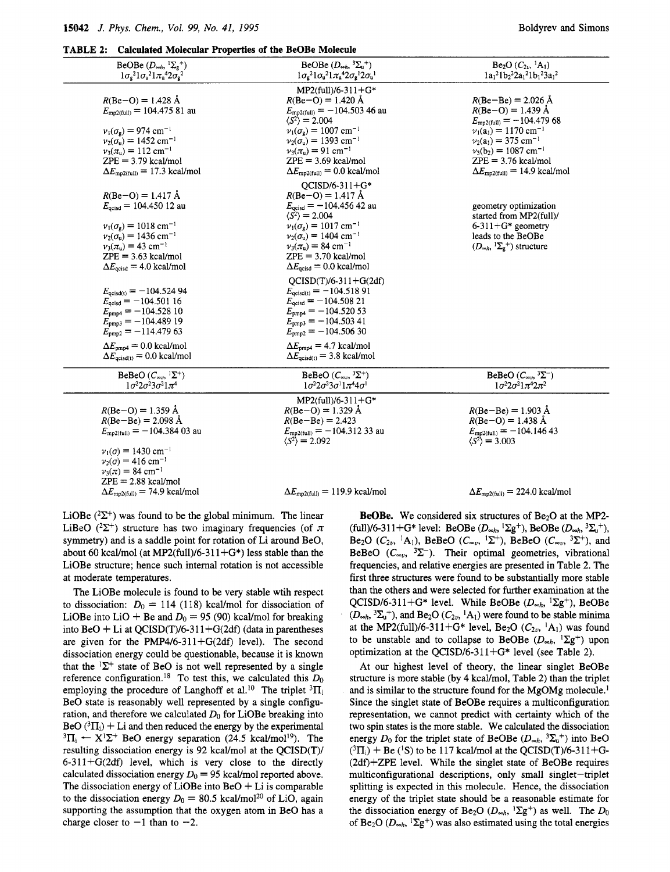#### **TABLE 2: Calculated Molecular Properties of the BeOBe Molecule**

| BeOBe $(D_{\infty h}, {}^{1}\Sigma_{g}^{+})$<br>$1\sigma_{\rm g}^2 1\sigma_{\rm u}^2 1\pi_{\rm u}^4 2\sigma_{\rm g}^2$ | BeOBe $(D_{\infty h}, {}^3\Sigma_u{}^+)$<br>$1\sigma_{\rm g}^2 1\sigma_{\rm u}^2 1\pi_{\rm u}^4 2\sigma_{\rm g}^1 2\sigma_{\rm u}^1$ | Be <sub>2</sub> O $(C_{2\nu}$ , <sup>1</sup> A <sub>1</sub> )<br>$1a_1^21b_2^22a_1^21b_1^23a_1^2$ |
|------------------------------------------------------------------------------------------------------------------------|--------------------------------------------------------------------------------------------------------------------------------------|---------------------------------------------------------------------------------------------------|
|                                                                                                                        | $MP2$ (full)/6-311+G*                                                                                                                |                                                                                                   |
| $R(Be-O) = 1.428$ Å                                                                                                    | $R(Be-O) = 1.420 \text{ Å}$                                                                                                          | $R(Be - Be) = 2.026 \text{ Å}$                                                                    |
| $E_{\text{mp2(full)}} = 104.47581 \text{ au}$                                                                          | $E_{\text{mp2(full)}} = -104.50346 \text{ au}$                                                                                       | $R(Be-O) = 1.439 \text{ Å}$                                                                       |
|                                                                                                                        | $\langle S^2 \rangle = 2.004$                                                                                                        | $E_{\text{mp2(full)}} = -104.47968$                                                               |
| $v_1(\sigma_{\rm g}) = 974$ cm <sup>-1</sup>                                                                           | $v_1(\sigma_{\rm s}) = 1007$ cm <sup>-1</sup>                                                                                        | $v_1(a_1) = 1170$ cm <sup>-1</sup>                                                                |
|                                                                                                                        |                                                                                                                                      |                                                                                                   |
| $v_2(\sigma_{\rm u}) = 1452 \text{ cm}^{-1}$                                                                           | $v_2(\sigma_{\rm u}) = 1393 \text{ cm}^{-1}$                                                                                         | $v_2(a_1) = 375$ cm <sup>-1</sup>                                                                 |
| $v_3(\pi_0) = 112$ cm <sup>-1</sup>                                                                                    | $v_3(\pi_{\rm u}) = 91$ cm <sup>-1</sup>                                                                                             | $v_3(b_2) = 1087$ cm <sup>-1</sup>                                                                |
| $ZPE = 3.79$ kcal/mol                                                                                                  | $ZPE = 3.69$ kcal/mol                                                                                                                | $ZPE = 3.76$ kcal/mol                                                                             |
| $\Delta E_{\text{mp2(full)}} = 17.3 \text{ kcal/mol}$                                                                  | $\Delta E_{\text{mp2(full)}} = 0.0 \text{ kcal/mol}$                                                                                 | $\Delta E_{\text{mp2(full)}} = 14.9 \text{ kcal/mol}$                                             |
|                                                                                                                        | $OCISD/6-311+G*$                                                                                                                     |                                                                                                   |
| $R(Be-O) = 1.417 \text{ Å}$                                                                                            | $R(Be-O) = 1.417 \text{ Å}$                                                                                                          |                                                                                                   |
| $E_{\text{acisd}}$ = 104.450 12 au                                                                                     | $E_{\text{qcisd}} = -104.456 42 \text{ au}$                                                                                          | geometry optimization                                                                             |
|                                                                                                                        | $\langle S^2 \rangle = 2.004$                                                                                                        | started from MP2(full)/                                                                           |
| $v_1(\sigma_{\rm e}) = 1018 \text{ cm}^{-1}$                                                                           | $v_1(\sigma_{\rm s}) = 1017$ cm <sup>-1</sup>                                                                                        | $6-311+G*$ geometry                                                                               |
| $v_2(\sigma_u) = 1436$ cm <sup>-1</sup>                                                                                | $v_2(\sigma_{\rm u}) = 1404 \text{ cm}^{-1}$                                                                                         | leads to the BeOBe                                                                                |
| $v_3(\pi_{\rm u}) = 43$ cm <sup>-1</sup>                                                                               | $v_3(\pi_{\rm u}) = 84$ cm <sup>-1</sup>                                                                                             | $(D_{\infty h}, \,^1\Sigma_g{}^+)$ structure                                                      |
| $ZPE = 3.63$ kcal/mol                                                                                                  | $ZPE = 3.70$ kcal/mol                                                                                                                |                                                                                                   |
| $\Delta E_{\text{qcisd}}$ = 4.0 kcal/mol                                                                               | $\Delta E_{\text{qcisd}} = 0.0 \text{ kcal/mol}$                                                                                     |                                                                                                   |
|                                                                                                                        |                                                                                                                                      |                                                                                                   |
|                                                                                                                        | $QCISD(T)/6-311+G(2df)$                                                                                                              |                                                                                                   |
| $E_{\text{qcisd(t)}} = -104.52494$                                                                                     | $E_{\text{qcisd(t)}} = -104.51891$                                                                                                   |                                                                                                   |
| $E_{\text{qcisd}} = -104.50116$                                                                                        | $E_{\text{acisd}} = -104.50821$                                                                                                      |                                                                                                   |
| $E_{\text{pmp4}} = -104.52810$                                                                                         | $E_{\text{pmp4}} = -104.52053$                                                                                                       |                                                                                                   |
| $E_{\text{pmp3}} = -104.48919$                                                                                         | $E_{\text{pmp3}} = -104.50341$                                                                                                       |                                                                                                   |
| $E_{\text{pmp2}} = -114.47963$                                                                                         | $E_{\text{om2}} = -104.50630$                                                                                                        |                                                                                                   |
| $\Delta E_{\text{pmp4}}$ = 0.0 kcal/mol                                                                                | $\Delta E_{\text{pmp4}}$ = 4.7 kcal/mol                                                                                              |                                                                                                   |
| $\Delta E_{\text{acisd(t)}} = 0.0 \text{ kcal/mol}$                                                                    | $\Delta E_{\text{acisdf}} = 3.8 \text{ kcal/mol}$                                                                                    |                                                                                                   |
|                                                                                                                        |                                                                                                                                      |                                                                                                   |
| BeBeO $(C_{\infty}$ , $^1\Sigma^+)$                                                                                    | BeBeO $(C_{\infty}^{\bullet}, {}^3\Sigma^+)$                                                                                         | BeBeO $(C_{\infty\nu}, {}^3\Sigma^-)$                                                             |
| $1\sigma^2 2\sigma^2 3\sigma^2 1\pi^4$                                                                                 | $1\sigma^2 2\sigma^2 3\sigma^1 1\pi^4 4\sigma^1$                                                                                     | $1\sigma^2 2\sigma^2 1\pi^4 2\pi^2$                                                               |
|                                                                                                                        | $MP2$ (full)/6-311+G*                                                                                                                |                                                                                                   |
| $R(Be-O) = 1.359 \text{ Å}$                                                                                            | $R(Be-O) = 1.329 \text{ Å}$                                                                                                          | $R(Be-Be) = 1.903 \text{ Å}$                                                                      |
| $R(Be - Be) = 2.098 \text{ Å}$                                                                                         | $R(Be - Be) = 2.423$                                                                                                                 | $R(Be-O) = 1.438 \text{ Å}$                                                                       |
| $E_{\text{mp2(full)}} = -104.384 03 \text{ au}$                                                                        | $E_{\text{mp2(full)}} = -104.31233 \text{ au}$                                                                                       | $E_{\text{mp2(full)}} = -104.14643$                                                               |
|                                                                                                                        | $\langle S^2 \rangle = 2.092$                                                                                                        | $\langle S^2 \rangle = 3.003$                                                                     |
| $v_1(\sigma) = 1430 \text{ cm}^{-1}$                                                                                   |                                                                                                                                      |                                                                                                   |
| $v_2(\sigma) = 416$ cm <sup>-1</sup>                                                                                   |                                                                                                                                      |                                                                                                   |
| $v_3(\pi) = 84$ cm <sup>-1</sup>                                                                                       |                                                                                                                                      |                                                                                                   |
| $ZPE = 2.88$ kcal/mol                                                                                                  |                                                                                                                                      |                                                                                                   |
| $\Delta E_{\text{mp2(full)}}$ = 74.9 kcal/mol                                                                          | $\Delta E_{\text{mp2(full)}} = 119.9 \text{ kcal/mol}$                                                                               | $\Delta E_{\text{mp2(full)}}$ = 224.0 kcal/mol                                                    |
|                                                                                                                        |                                                                                                                                      |                                                                                                   |

LiOBe  $(^{2}\Sigma^{+})$  was found to be the global minimum. The linear LiBeO  $(^{2}\Sigma^{+})$  structure has two imaginary frequencies (of  $\pi$ symmetry) and is a saddle point for rotation of Li around BeO, about 60 kcal/mol (at MP2(full)/6-311+ $G^*$ ) less stable than the LiOBe structure; hence such internal rotation is not accessible at moderate temperatures.

The LiOBe molecule is found to be very stable wtih respect to dissociation:  $D_0 = 114$  (118) kcal/mol for dissociation of LiOBe into LiO + Be and  $D_0 = 95 (90)$  kcal/mol for breaking into BeO + Li at QCISD(T)/6-311+G(2df) (data in parentheses are given for the PMP4/6-311+ $G(2df)$  level). The second dissociation energy could be questionable, because it is known that the  ${}^{1}\Sigma^{+}$  state of BeO is not well represented by a single reference configuration.<sup>18</sup> To test this, we calculated this  $D_0$ employing the procedure of Langhoff et al.<sup>10</sup> The triplet  ${}^{3}\Pi_{i}$ Be0 state is reasonably well represented by a single configuration, and therefore we calculated  $D_0$  for LiOBe breaking into BeO  $({}^{3}\Pi_{i})$  + Li and then reduced the energy by the experimental  ${}^{3}\Pi_{i}$   $\leftarrow$  X<sup>1</sup> $\Sigma^{+}$  BeO energy separation (24.5 kcal/mol<sup>19</sup>). The resulting dissociation energy is 92 kcal/mol at the QCISD(T)/  $6-311+G(2df)$  level, which is very close to the directly calculated dissociation energy  $D_0 = 95$  kcal/mol reported above. The dissociation energy of  $LiOBe$  into  $BeO + Li$  is comparable to the dissociation energy  $D_0 = 80.5$  kcal/mol<sup>20</sup> of LiO, again supporting the assumption that the oxygen atom in BeO has a charge closer to  $-1$  than to  $-2$ .

**BeOBe.** We considered six structures of Be<sub>2</sub>O at the MP2- $(full)/6-311+G*$  level: BeOBe  $(D_{\infty h}, {}^{1}\Sigma g^{+})$ , BeOBe  $(D_{\infty h}, {}^{3}\Sigma_{u}^{+})$ ,  $Be_2O$  ( $C_{2\nu}$ , <sup>1</sup>A<sub>1</sub>), BeBeO ( $C_{\infty\nu}$ , <sup>1</sup> $\Sigma^+$ ), BeBeO ( $C_{\infty\nu}$ , <sup>3</sup> $\Sigma^+$ ), and BeBeO  $(C_{\infty, v}, {}^{3}\Sigma^{-})$ . Their optimal geometries, vibrational frequencies, and relative energies are presented in Table 2. The first three structures were found to be substantially more stable than the others and were selected for further examination at the QCISD/6-311+G\* level. While BeOBe  $(D_{\infty h}$ , <sup>1</sup> $\Sigma g^+$ ), BeOBe  $(D_{\infty h}$ ,  ${}^3\Sigma_u{}^+$ ), and Be<sub>2</sub>O ( $C_{2v}$ , <sup>1</sup>A<sub>1</sub>) were found to be stable minima at the MP2(full)/6-311+G\* level, Be<sub>2</sub>O  $(C_{2\nu}$ , <sup>1</sup>A<sub>1</sub>) was found to be unstable and to collapse to BeOBe  $(D_{\infty h}, \ {}^{1}\Sigma g^{+})$  upon optimization at the QCISD/6-3ll+G\* level (see Table *2).* 

At our highest level of theory, the linear singlet BeOBe structure is more stable (by 4 kcal/mol, Table 2) than the triplet and is similar to the structure found for the MgOMg molecule.' Since the singlet state of BeOBe requires a multiconfiguration representation, we cannot predict with certainty which of the two spin states is the more stable. We calculated the dissociation energy  $D_0$  for the triplet state of BeOBe  $(D_{\infty h}$ ,  ${}^3\Sigma_0^+$ ) into BeO  $(^{3}\Pi_{i})$  + Be (<sup>1</sup>S) to be 117 kcal/mol at the QCISD(T)/6-311+G-(2df)+ZPE level. While the singlet state of BeOBe requires multiconfigurational descriptions, only small singlet-triplet splitting is expected in this molecule. Hence, the dissociation energy of the triplet state should be a reasonable estimate for the dissociation energy of Be<sub>2</sub>O ( $D_{\infty h}$ , <sup>1</sup> $\Sigma$ g<sup>+</sup>) as well. The  $D_0$ of Be<sub>2</sub>O ( $D_{\infty h}$ , <sup>1</sup> $\Sigma g$ <sup>+</sup>) was also estimated using the total energies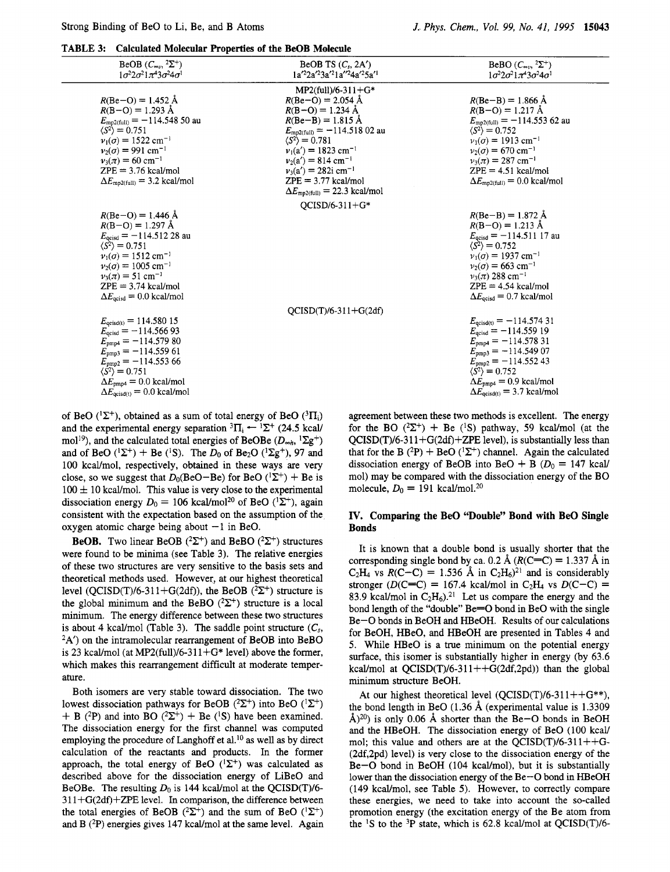## **TABLE 3: Calculated Molecular Properties of the BeOB Molecule**

| BeOB $(C_{\infty}^{\bullet}, 2\Sigma^+)$<br>$1\sigma^2 2\sigma^2 1\pi^4 3\sigma^2 4\sigma^1$ | BeOB TS $(C_n, 2A')$<br>$1a'^22a'^23a'^21a''^24a'^25a'^1$ | BeBO $(C_{\infty}^{\circ}, 2\Sigma^+)$<br>$1\sigma^2 2\sigma^2 1\pi^4 3\sigma^2 4\sigma^1$ |
|----------------------------------------------------------------------------------------------|-----------------------------------------------------------|--------------------------------------------------------------------------------------------|
|                                                                                              | $MP2$ (full)/6-311+G*                                     |                                                                                            |
| $R(Be-O) = 1.452 \text{ Å}$                                                                  | $R(Be-O) = 2.054$ Å                                       | $R(Be-B) = 1.866 \text{ Å}$                                                                |
| $R(B-O) = 1.293$ Å                                                                           | $R(B-O) = 1.234 \text{ Å}$                                | $R(B-O) = 1.217 \text{ Å}$                                                                 |
| $E_{\text{mp2(full)}} = -114.54850 \text{ au}$                                               | $R(Be-B) = 1.815 \text{ Å}$                               | $E_{\text{mp2(full)}} = -114.55362 \text{ au}$                                             |
| $\langle S^2 \rangle = 0.751$                                                                | $E_{\text{mp2(full)}} = -114.51802 \text{ au}$            | $\langle S^2 \rangle = 0.752$                                                              |
| $v_1(\sigma) = 1522$ cm <sup>-1</sup>                                                        | $\langle S^2 \rangle = 0.781$                             | $v_1(\sigma) = 1913$ cm <sup>-1</sup>                                                      |
| $v_2(\sigma) = 991$ cm <sup>-1</sup>                                                         | $v_1(a') = 1823$ cm <sup>-1</sup>                         | $v_2(\sigma) = 670 \text{ cm}^{-1}$                                                        |
| $v_3(\pi) = 60$ cm <sup>-1</sup>                                                             | $v_2(a') = 814$ cm <sup>-1</sup>                          | $v_3(\pi) = 287$ cm <sup>-1</sup>                                                          |
| $ZPE = 3.76$ kcal/mol                                                                        | $v_3(a') = 282i$ cm <sup>-1</sup>                         | $ZPE = 4.51$ kcal/mol                                                                      |
| $\Delta E_{\text{mp2(full)}} = 3.2 \text{ kcal/mol}$                                         | $ZPE = 3.77$ kcal/mol                                     | $\Delta E_{\text{mp2(full)}} = 0.0 \text{ kcal/mol}$                                       |
|                                                                                              | $\Delta E_{\text{mp2(full)}} = 22.3 \text{ kcal/mol}$     |                                                                                            |
|                                                                                              | $OCISD/6-311+G*$                                          |                                                                                            |
| $R(Be-O) = 1.446$ Å                                                                          |                                                           | $R(Be-B) = 1.872 \text{ Å}$                                                                |
| $R(B-O) = 1.297 \text{ Å}$                                                                   |                                                           | $R(B-O) = 1.213 \text{ Å}$                                                                 |
| $E_{\text{qcisd}} = -114.51228$ au                                                           |                                                           | $E_{\text{qcisd}} = -114.51117$ au                                                         |
| $\langle S^2 \rangle = 0.751$                                                                |                                                           | $\langle S^2 \rangle = 0.752$                                                              |
| $v_1(\sigma) = 1512$ cm <sup>-1</sup>                                                        |                                                           | $v_1(\sigma) = 1937$ cm <sup>-1</sup>                                                      |
| $v_2(\sigma) = 1005$ cm <sup>-1</sup>                                                        |                                                           | $v_2(\sigma) = 663$ cm <sup>-1</sup>                                                       |
| $v_3(\pi) = 51$ cm <sup>-1</sup>                                                             |                                                           | $v_3(\pi)$ 288 cm <sup>-1</sup>                                                            |
| $ZPE = 3.74$ kcal/mol                                                                        |                                                           | $ZPE = 4.54$ kcal/mol                                                                      |
| $\Delta E_{\text{qcisd}} = 0.0 \text{ kcal/mol}$                                             |                                                           | $\Delta E_{\text{qcisd}} = 0.7 \text{ kcal/mol}$                                           |
|                                                                                              | $QCISD(T)/6-311+G(2df)$                                   |                                                                                            |
| $E_{\text{qcisd}(t)} = 114.58015$                                                            |                                                           | $E_{\text{qcisd(t)}} = -114.57431$                                                         |
| $E_{\text{qcisd}} = -114.56693$                                                              |                                                           | $E_{\text{qcisd}} = -114.55919$                                                            |
| $E_{\text{pmp4}} = -114.57980$                                                               |                                                           | $E_{\text{pmp4}} = -114.57831$                                                             |
| $E_{\text{pmp3}} = -114.55961$                                                               |                                                           | $E_{\text{pmp3}} = -114.549 07$                                                            |
| $E_{\text{pmp2}} = -114.55366$                                                               |                                                           | $E_{\text{pmp2}} = -114.55243$                                                             |
| $\langle S^2 \rangle = 0.751$                                                                |                                                           | $\langle S^2 \rangle = 0.752$                                                              |
| $\Delta E_{\text{omod}} = 0.0$ kcal/mol                                                      |                                                           | $\Delta E_{\text{pmp4}}$ = 0.9 kcal/mol                                                    |
| $\Delta E_{\text{acisdft}} = 0.0 \text{ kcal/mol}$                                           |                                                           | $\Delta E_{\text{qcisd(t)}} = 3.7 \text{ kcal/mol}$                                        |

of BeO  $(^1\Sigma^+)$ , obtained as a sum of total energy of BeO  $(^3\Pi_i)$ and the experimental energy separation  ${}^{3}\Pi_{i} \leftarrow {}^{1}\Sigma^{+}$  (24.5 kcal/ mol<sup>19</sup>), and the calculated total energies of BeOBe  $(D_{\infty h}, {}^{1}\Sigma g^{+})$ and of BeO  $({}^{1}\Sigma^{+})$  + Be  $({}^{1}S)$ . The  $D_0$  of Be<sub>2</sub>O  $({}^{1}\Sigma g^{+})$ , 97 and 100 kcal/mol, respectively, obtained in these ways are very close, so we suggest that  $D_0(BeO-Be)$  for BeO  $(^1\Sigma^+)$  + Be is  $100 \pm 10$  kcal/mol. This value is very close to the experimental dissociation energy  $D_0 = 106$  kcal/mol<sup>20</sup> of BeO  $(^1\Sigma^+)$ , again consistent with the expectation based on the assumption of the oxygen atomic charge being about  $-1$  in BeO.

**BeOB.** Two linear BeOB  $(^{2}\Sigma^{+})$  and BeBO  $(^{2}\Sigma^{+})$  structures were found to be minima (see Table 3). The relative energies of these two structures are very sensitive to the basis sets and theoretical methods used. However, at our highest theoretical level (OCISD(T)/6-311+G(2df)), the BeOB  $(^{2}\Sigma^{+})$  structure is the global minimum and the BeBO  $(^{2}\Sigma^{+})$  structure is a local minimum. The energy difference between these two structures is about 4 kcal/mol (Table 3). The saddle point structure  $(C_s,$ 2A') on the intramolecular rearrangement of BeOB into BeBO is 23 kcal/mol (at MP2(full)/6-311+ $G^*$  level) above the former, which makes this rearrangement difficult at moderate temperature.

Both isomers are very stable toward dissociation. The two lowest dissociation pathways for BeOB  $(^{2}\Sigma^{+})$  into BeO  $(^{1}\Sigma^{+})$  $+$  B (<sup>2</sup>P) and into BO (<sup>2</sup> $\Sigma$ <sup>+</sup>)  $+$  Be (<sup>1</sup>S) have been examined. The dissociation energy for the first channel was computed employing the procedure of Langhoff et al.<sup>10</sup> as well as by direct calculation of the reactants and products. In the former approach, the total energy of BeO  $(^{1}\Sigma^{+})$  was calculated as described above for the dissociation energy of LiBeO and BeOBe. The resulting  $D_0$  is 144 kcal/mol at the QCISD(T)/6- $311 + G(2df) + ZPE$  level. In comparison, the difference between the total energies of BeOB  $(^{2}\Sigma^{+})$  and the sum of BeO  $(^{1}\Sigma^{+})$ and B (<sup>2</sup>P) energies gives 147 kcal/mol at the same level. Again agreement between these two methods is excellent. The energy for the BO  $(^{2}\Sigma^{+})$  + Be  $(^{1}S)$  pathway, 59 kcal/mol (at the  $QCISD(T)/6-311+G(2df)+ZPE$  level), is substantially less than that for the B  $(^{2}P)$  + BeO  $(^{1}\Sigma^{+})$  channel. Again the calculated dissociation energy of BeOB into BeO + B  $(D_0 = 147 \text{ kcal/}$ mol) may be compared with the dissociation energy of the BO molecule,  $D_0 = 191$  kcal/mol.<sup>20</sup>

## **IV. Comparing the Be0 "Double" Bond with Be0 Single Bonds**

It is known that a double bond is usually shorter that the corresponding single bond by ca. 0.2 Å  $(R(C=C) = 1.337$  Å in  $C_2H_4$  vs  $R(C-C) = 1.536$  Å in  $C_2H_6$ <sup>21</sup> and is considerably stronger ( $D(C=C) = 167.4$  kcal/mol in C<sub>2</sub>H<sub>4</sub> vs  $D(C-C) =$ 83.9 kcal/mol in  $C_2H_6$ <sup>21</sup> Let us compare the energy and the bond length of the "double" Be=O bond in BeO with the single Be-0 bonds in BeOH and HBeOH. Results of our calculations for BeOH, HBeO, and HBeOH are presented in Tables 4 and 5. While HBeO is a true minimum on the potential energy surface, this isomer is substantially higher in energy (by 63.6 kcal/mol at  $OCISD(T)/6-311++G(2df,2pd)$  than the global minimum structure BeOH.

At our highest theoretical level  $(OCISD(T)/6-311++G^{**})$ , the bond length in Be0 (1.36 **8,** (experimental value is 1.3309  $\hat{A}$ )<sup>20</sup>) is only 0.06  $\hat{A}$  shorter than the Be-O bonds in BeOH and the HBeOH. The dissociation energy of Be0 (100 kcal/ mol; this value and others are at the  $QCISD(T)/6-311++G-$ (2df,2pd) level) is very close to the dissociation energy of the Be-O bond in BeOH (104 kcal/mol), but it is substantially lower than the dissociation energy of the Be-0 bond in HBeOH  $(149 \text{ kcal/mol}, \text{see Table 5})$ . However, to correctly compare these energies, we need to take into account the so-called promotion energy (the excitation energy of the Be atom from the 'S to the **3P** state, which is 62.8 kcallmol at QCISD(T)/6-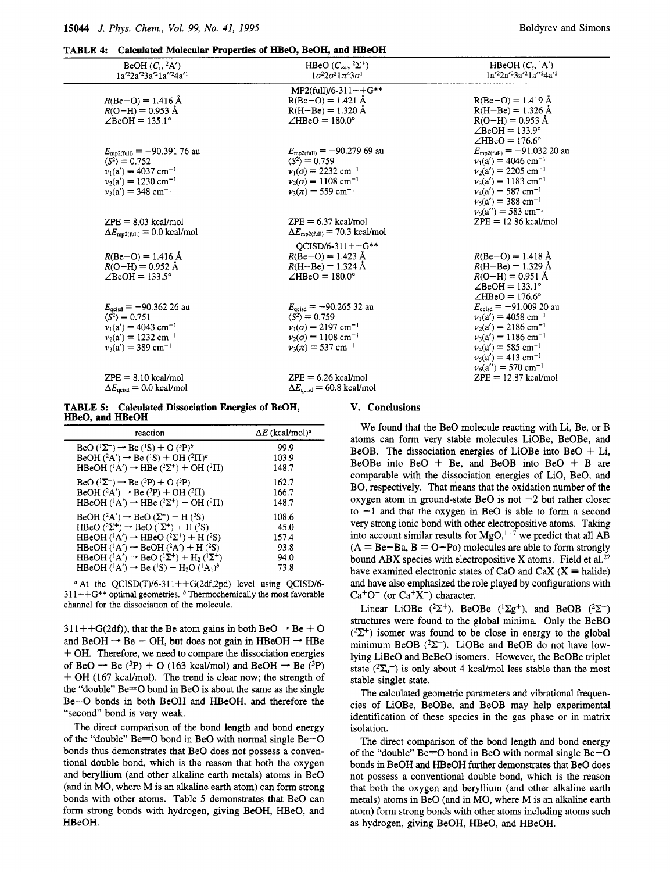| BeOH $(C_s, {}^2A')$<br>$1a'^22a'^23a'^21a''^24a'^1$                                                                                                                                   | HBeO $(C_{\infty}$ , $2\Sigma^+)$<br>$1\sigma^2 2\sigma^2 1\pi^4 3\sigma^1$                                                                                                                       | HBeOH $(C_s, {}^1A')$<br>$1a'^22a'^23a'^21a''^24a'^2$                                                                                                                                                                                                                     |
|----------------------------------------------------------------------------------------------------------------------------------------------------------------------------------------|---------------------------------------------------------------------------------------------------------------------------------------------------------------------------------------------------|---------------------------------------------------------------------------------------------------------------------------------------------------------------------------------------------------------------------------------------------------------------------------|
| $R(Be-O) = 1.416$ Å<br>$R(O-H) = 0.953 \text{ Å}$<br>$\angle$ BeOH = 135.1°                                                                                                            | $MP2$ (full)/6-311++G**<br>$R(Be-O) = 1.421$ Å<br>$R(H - Be) = 1.320 \text{ Å}$<br>$\angle$ HBeO = 180.0°                                                                                         | $R(Be-O) = 1.419$ Å<br>$R(H - Be) = 1.326$ Å<br>$R(O-H) = 0.953 \text{ Å}$<br>$\angle$ BeOH = 133.9°<br>$\angle$ HBeO = 176.6°                                                                                                                                            |
| $E_{\text{mp2(full)}} = -90.391\,76$ au<br>$\langle S^2 \rangle = 0.752$<br>$v_1(a') = 4037$ cm <sup>-1</sup><br>$v_2(a') = 1230$ cm <sup>-1</sup><br>$v_3(a') = 348$ cm <sup>-1</sup> | $E_{\text{mp2(full)}} = -90.27969$ au<br>$\langle S^2 \rangle = 0.759$<br>$v_1(\sigma) = 2232 \text{ cm}^{-1}$<br>$v_2(\sigma) = 1108$ cm <sup>-1</sup><br>$v_3(\pi) = 559$ cm <sup>-1</sup>      | $E_{\text{mp2(full)}} = -91.03220 \text{ au}$<br>$v_1(a') = 4046$ cm <sup>-1</sup><br>$v_2(a') = 2205$ cm <sup>-1</sup><br>$v_3(a') = 1183$ cm <sup>-1</sup><br>$v_4(a') = 587$ cm <sup>-1</sup><br>$v_5(a') = 388$ cm <sup>-1</sup><br>$v_6(a'') = 583$ cm <sup>-1</sup> |
| $ZPE = 8.03$ kcal/mol<br>$\Delta E_{\text{mp2(full)}} = 0.0 \text{ kcal/mol}$                                                                                                          | $ZPE = 6.37$ kcal/mol<br>$\Delta E_{\text{mp2(full)}}$ = 70.3 kcal/mol                                                                                                                            | $ZPE = 12.86$ kcal/mol                                                                                                                                                                                                                                                    |
| $R(Be-O) = 1.416 \text{ Å}$<br>$R(O-H) = 0.952 \text{ Å}$<br>$\angle$ BeOH = 133.5°                                                                                                    | $OCISD/6-311++G**$<br>$R(Be-O) = 1.423 \text{ Å}$<br>$R(H - Be) = 1.324 \text{ Å}$<br>$\angle$ HBeO = 180.0°                                                                                      | $R(Be-O) = 1.418$ Å<br>$R(H - Be) = 1.329 \text{ Å}$<br>$R(O-H) = 0.951 \text{ Å}$<br>$\angle$ BeOH = 133.1°<br>$\angle$ HBeO = 176.6°                                                                                                                                    |
| $E_{\text{qcisd}} = -90.36226$ au<br>$\langle S^2 \rangle = 0.751$<br>$v_1(a') = 4043$ cm <sup>-1</sup><br>$v_2(a') = 1232$ cm <sup>-1</sup><br>$v_3(a') = 389$ cm <sup>-1</sup>       | $E_{\text{qcisd}} = -90.26532 \text{ au}$<br>$\langle S^2 \rangle = 0.759$<br>$v_1(\sigma) = 2197$ cm <sup>-1</sup><br>$v_2(\sigma) = 1108$ cm <sup>-1</sup><br>$v_3(\pi) = 537$ cm <sup>-1</sup> | $E_{\text{qcisd}} = -91.00920$ au<br>$v_1(a') = 4058$ cm <sup>-1</sup><br>$v_2(a') = 2186$ cm <sup>-1</sup><br>$v_3(a') = 1186$ cm <sup>-1</sup><br>$v_4(a') = 585$ cm <sup>-1</sup><br>$v_5(a') = 413$ cm <sup>-1</sup>                                                  |
| $ZPE = 8.10$ kcal/mol<br>$\Delta E_{\text{ncisd}} = 0.0 \text{ kcal/mol}$                                                                                                              | $ZPE = 6.26$ kcal/mol<br>$\Delta E_{\text{acisd}}$ = 60.8 kcal/mol                                                                                                                                | $v_6(a'') = 570 \text{ cm}^{-1}$<br>$ZPE = 12.87$ kcal/mol                                                                                                                                                                                                                |

TABLE 5: Calculated Dissociation Energies of BeOH, HBeO, and HBeOH

| reaction                                                                                              | $\Delta E$ (kcal/mol) <sup>a</sup> |
|-------------------------------------------------------------------------------------------------------|------------------------------------|
| BeO $(^{1}\Sigma^{+}) \rightarrow$ Be $(^{1}S) + O(^{3}P)^{b}$                                        | 99.9                               |
| BeOH ( ${}^{2}A'$ ) $\rightarrow$ Be ( ${}^{1}S$ ) + OH ( ${}^{2}\Pi$ ) <sup>b</sup>                  | 103.9                              |
| HBeOH ( ${}^{1}\text{A}'$ ) $\rightarrow$ HBe ( ${}^{2}\Sigma^{+}$ ) + OH ( ${}^{2}\Pi$ )             | 148.7                              |
| BeO $(^{1}\Sigma^{+}) \rightarrow$ Be $(^{3}P) + O(^{3}P)$                                            | 162.7                              |
| BeOH $(^{2}A') \rightarrow$ Be $(^{3}P) +$ OH $(^{2}\Pi)$                                             | 166.7                              |
| HBeOH $(^1A') \rightarrow$ HBe $(^2\Sigma^+)$ + OH $(^2\Pi)$                                          | 148.7                              |
| BeOH $(^{2}A') \rightarrow$ BeO $(\Sigma^{+}) +$ H $(^{2}S)$                                          | 108.6                              |
| HBeO $(^{2}\Sigma^{+}) \rightarrow$ BeO $(^{1}\Sigma^{+}) +$ H $(^{2}S)$                              | 45.0                               |
| HBeOH ( ${}^{1}A'$ ) $\rightarrow$ HBeO ( ${}^{2}\Sigma^{+}$ ) + H ( ${}^{2}S$ )                      | 157.4                              |
| HBeOH $(^1A') \rightarrow$ BeOH $(^2A') +$ H $(^2S)$                                                  | 93.8                               |
| HBeOH $(^1A') \rightarrow$ BeO $(^1\Sigma^+)$ + H <sub>2</sub> $(^1\Sigma^+)$                         | 94.0                               |
| HBeOH ( ${}^{1}A'$ ) $\rightarrow$ Be ( ${}^{1}S$ ) + H <sub>2</sub> O ( ${}^{1}A_{1}$ ) <sup>b</sup> | 73.8                               |

<sup>a</sup> At the QCISD(T)/6-311++G(2df,2pd) level using QCISD/6- $311++G$ <sup>\*\*</sup> optimal geometries. <sup>b</sup> Thermochemically the most favorable channel for the dissociation of the molecule.

 $311++G(2df)$ , that the Be atom gains in both BeO  $\rightarrow$  Be + O and BeOH  $\rightarrow$  Be + OH, but does not gain in HBeOH  $\rightarrow$  HBe + OH. Therefore, we need to compare the dissociation energies of BeO  $\rightarrow$  Be (<sup>3</sup>P) + O (163 kcal/mol) and BeOH  $\rightarrow$  Be (<sup>3</sup>P)  $+$  OH (167 kcal/mol). The trend is clear now; the strength of the "double" Be=O bond in BeO is about the same as the single Be-O bonds in both BeOH and HBeOH, and therefore the "second" bond is very weak.

The direct comparison of the bond length and bond energy of the "double" Be=O bond in BeO with normal single Be-O bonds thus demonstrates that BeO does not possess a conventional double bond, which is the reason that both the oxygen and beryllium (and other alkaline earth metals) atoms in BeO (and in MO, where M is an alkaline earth atom) can form strong bonds with other atoms. Table 5 demonstrates that BeO can form strong bonds with hydrogen, giving BeOH, HBeO, and HBeOH.

## V. Conclusions

We found that the BeO molecule reacting with Li, Be, or B atoms can form very stable molecules LiOBe, BeOBe, and BeOB. The dissociation energies of LiOBe into BeO  $+$  Li, BeOBe into BeO + Be, and BeOB into BeO + B are comparable with the dissociation energies of LiO, BeO, and BO, respectively. That means that the oxidation number of the oxygen atom in ground-state BeO is not  $-2$  but rather closer to  $-1$  and that the oxygen in BeO is able to form a second very strong ionic bond with other electropositive atoms. Taking into account similar results for  $MgO$ ,<sup>1-7</sup> we predict that all AB  $(A = Be - Ba, B = O - Po)$  molecules are able to form strongly bound ABX species with electropositive X atoms. Field et al.<sup>22</sup> have examined electronic states of CaO and CaX  $(X = \text{halide})$ and have also emphasized the role played by configurations with  $Ca<sup>+</sup>O<sup>-</sup>$  (or  $Ca<sup>+</sup>X<sup>-</sup>$ ) character.

Linear LiOBe ( ${}^{2}\Sigma^{+}$ ), BeOBe ( ${}^{1}\Sigma g^{+}$ ), and BeOB ( ${}^{2}\Sigma^{+}$ ) structures were found to the global minima. Only the BeBO  $(2\Sigma^+)$  isomer was found to be close in energy to the global minimum BeOB  $(^{2}\Sigma^{+})$ . LiOBe and BeOB do not have lowlying LiBeO and BeBeO isomers. However, the BeOBe triplet state  $({}^2\Sigma_u{}^+)$  is only about 4 kcal/mol less stable than the most stable singlet state.

The calculated geometric parameters and vibrational frequencies of LiOBe, BeOBe, and BeOB may help experimental identification of these species in the gas phase or in matrix isolation.

The direct comparison of the bond length and bond energy of the "double"  $Be = O$  bond in BeO with normal single  $Be - O$ bonds in BeOH and HBeOH further demonstrates that BeO does not possess a conventional double bond, which is the reason that both the oxygen and beryllium (and other alkaline earth metals) atoms in BeO (and in MO, where M is an alkaline earth atom) form strong bonds with other atoms including atoms such as hydrogen, giving BeOH, HBeO, and HBeOH.